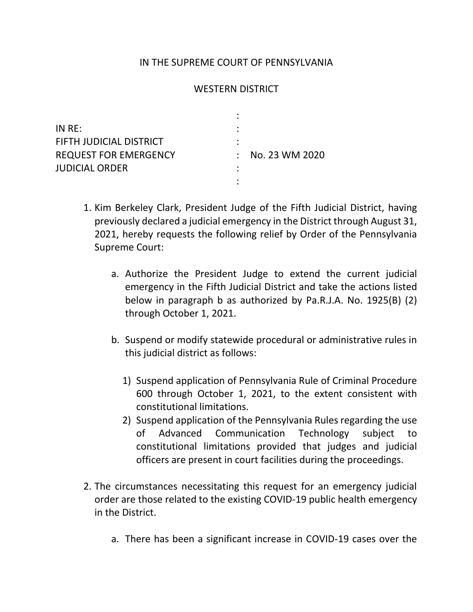## IN THE SUPREME COURT OF PENNSYLVANIA

## WESTERN DISTRICT

| IN RE:                       |                |
|------------------------------|----------------|
| FIFTH JUDICIAL DISTRICT      |                |
| <b>REQUEST FOR EMERGENCY</b> | No. 23 WM 2020 |
| <b>JUDICIAL ORDER</b>        |                |
|                              |                |

- 1. Kim Berkeley Clark, President Judge of the Fifth Judicial District, having previously declared a judicial emergency in the District through August 31, 2021, hereby requests the following relief by Order of the Pennsylvania Supreme Court:
	- a. Authorize the President Judge to extend the current judicial emergency in the Fifth Judicial District and take the actions listed below in paragraph b as authorized by Pa.R.J.A. No. 1925(B) (2) through October 1, 2021.
	- b. Suspend or modify statewide procedural or administrative rules in this judicial district as follows:
		- 1) Suspend application of Pennsylvania Rule of Criminal Procedure 600 through October 1, 2021, to the extent consistent with constitutional limitations.
		- 2) Suspend application of the Pennsylvania Rules regarding the use of Advanced Communication Technology subject to constitutional limitations provided that judges and judicial officers are present in court facilities during the proceedings.
- 2. The circumstances necessitating this request for an emergency judicial order are those related to the existing COVID-19 public health emergency in the District.
	- a. There has been a significant increase in COVID-19 cases over the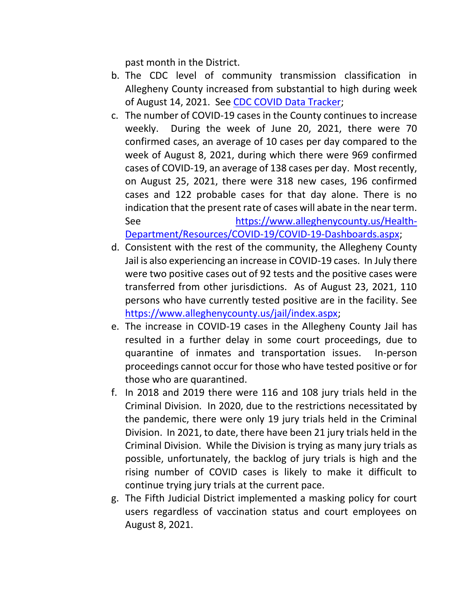past month in the District.

- b. The CDC level of community transmission classification in Allegheny County increased from substantial to high during week of August 14, 2021. See [CDC COVID Data Tracker;](https://covid.cdc.gov/covid-data-tracker/#county-view)
- c. The number of COVID-19 cases in the County continues to increase weekly. During the week of June 20, 2021, there were 70 confirmed cases, an average of 10 cases per day compared to the week of August 8, 2021, during which there were 969 confirmed cases of COVID-19, an average of 138 cases per day. Most recently, on August 25, 2021, there were 318 new cases, 196 confirmed cases and 122 probable cases for that day alone. There is no indication that the present rate of cases will abate in the near term. See https://www.alleghenycounty.us/Health-Department/Resources/COVID-19/COVID-19-Dashboards.aspx;
- d. Consistent with the rest of the community, the Allegheny County Jail is also experiencing an increase in COVID-19 cases. In July there were two positive cases out of 92 tests and the positive cases were transferred from other jurisdictions. As of August 23, 2021, 110 persons who have currently tested positive are in the facility. See https://www.alleghenycounty.us/jail/index.aspx;
- e. The increase in COVID-19 cases in the Allegheny County Jail has resulted in a further delay in some court proceedings, due to quarantine of inmates and transportation issues. In-person proceedings cannot occur for those who have tested positive or for those who are quarantined.
- f. In 2018 and 2019 there were 116 and 108 jury trials held in the Criminal Division. In 2020, due to the restrictions necessitated by the pandemic, there were only 19 jury trials held in the Criminal Division. In 2021, to date, there have been 21 jury trials held in the Criminal Division. While the Division is trying as many jury trials as possible, unfortunately, the backlog of jury trials is high and the rising number of COVID cases is likely to make it difficult to continue trying jury trials at the current pace.
- g. The Fifth Judicial District implemented a masking policy for court users regardless of vaccination status and court employees on August 8, 2021.